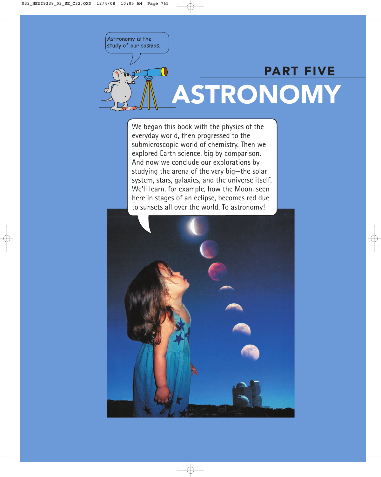Astronomy is the study of our cosmos.

# PART FIVE ASTRONOMY

We began this book with the physics of the everyday world, then progressed to the submicroscopic world of chemistry. Then we explored Earth science, big by comparison. And now we conclude our explorations by studying the arena of the very big—the solar system, stars, galaxies, and the universe itself. We'll learn, for example, how the Moon, seen here in stages of an eclipse, becomes red due to sunsets all over the world. To astronomy!

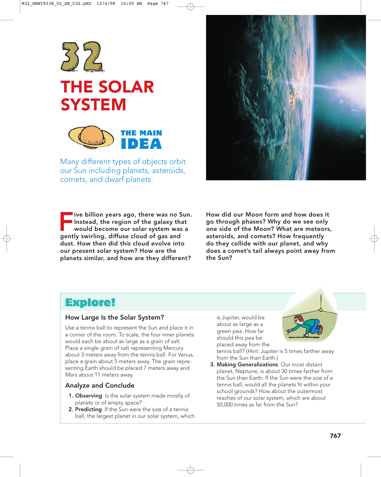

## THE SOLAR **SYSTEM**



Many different types of objects orbit our Sun including planets, asteroids, comets, and dwarf planets.

 $\blacksquare$  ive billion years ago, there was no Sun. Instead, the region of the galaxy that would become our solar system was a gently swirling, diffuse cloud of gas and dust. How then did this cloud evolve into our present solar system? How are the planets similar, and how are they different?



How did our Moon form and how does it go through phases? Why do we see only one side of the Moon? What are meteors, asteroids, and comets? How frequently do they collide with our planet, and why does a comet's tail always point away from the Sun?

## Explore!

#### How Large Is the Solar System?

Use a tennis ball to represent the Sun and place it in a corner of the room. To scale, the four inner planets would each be about as large as a grain of salt. Place a single grain of salt representing Mercury about 3 meters away from the tennis ball. For Venus, place a grain about 5 meters away. The grain representing Earth should be placed 7 meters away and Mars about 11 meters away.

#### Analyze and Conclude

- 1. Observing Is the solar system made mostly of planets or of empty space?
- 2. Predicting If the Sun were the size of a tennis ball, the largest planet in our solar system, which

is Jupiter, would be about as large as a green pea. How far should this pea be placed away from the



tennis ball? (Hint: Jupiter is 5 times farther away from the Sun than Earth.)

3. Making Generalizations Our most distant planet, Neptune, is about 30 times farther from the Sun than Earth. If the Sun were the size of a tennis ball, would all the planets fit within your school grounds? How about the outermost reaches of our solar system, which are about 50,000 times as far from the Sun?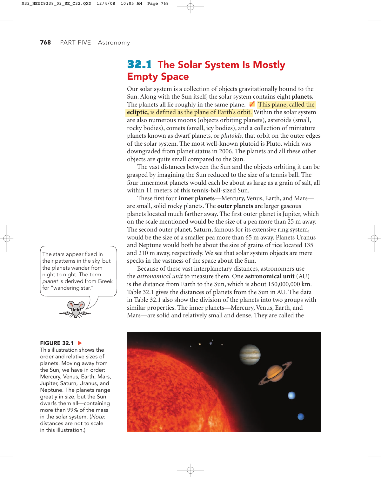**768** PART FIVE Astronomy

## 32.1 The Solar System Is Mostly Empty Space

Our solar system is a collection of objects gravitationally bound to the Sun. Along with the Sun itself, the solar system contains eight **planets.** The planets all lie roughly in the same plane. √ This plane, called the **ecliptic,** is defined as the plane of Earth's orbit. Within the solar system are also numerous moons (objects orbiting planets), asteroids (small, rocky bodies), comets (small, icy bodies), and a collection of miniature planets known as dwarf planets, or *plutoids*, that orbit on the outer edges of the solar system. The most well-known plutoid is Pluto, which was downgraded from planet status in 2006. The planets and all these other objects are quite small compared to the Sun.

The vast distances between the Sun and the objects orbiting it can be grasped by imagining the Sun reduced to the size of a tennis ball. The four innermost planets would each be about as large as a grain of salt, all within 11 meters of this tennis-ball-sized Sun.

These first four **inner planets**—Mercury, Venus, Earth, and Mars are small, solid rocky planets. The **outer planets** are larger gaseous planets located much farther away. The first outer planet is Jupiter, which on the scale mentioned would be the size of a pea more than 25 m away. The second outer planet, Saturn, famous for its extensive ring system, would be the size of a smaller pea more than 65 m away. Planets Uranus and Neptune would both be about the size of grains of rice located 135 and 210 m away, respectively. We see that solar system objects are mere specks in the vastness of the space about the Sun.

Because of these vast interplanetary distances, astronomers use the *astronomical unit* to measure them. One **astronomical unit** (AU) is the distance from Earth to the Sun, which is about 150,000,000 km. Table 32.1 gives the distances of planets from the Sun in AU. The data in Table 32.1 also show the division of the planets into two groups with similar properties. The inner planets—Mercury, Venus, Earth, and Mars—are solid and relatively small and dense. They are called the



The stars appear fixed in their patterns in the sky, but the planets wander from night to night. The term planet is derived from Greek for "wandering star."



#### **FIGURE 32.1 ▶**

This illustration shows the order and relative sizes of planets. Moving away from the Sun, we have in order: Mercury, Venus, Earth, Mars, Jupiter, Saturn, Uranus, and Neptune. The planets range greatly in size, but the Sun dwarfs them all—containing more than 99% of the mass in the solar system. (Note: distances are not to scale in this illustration.)